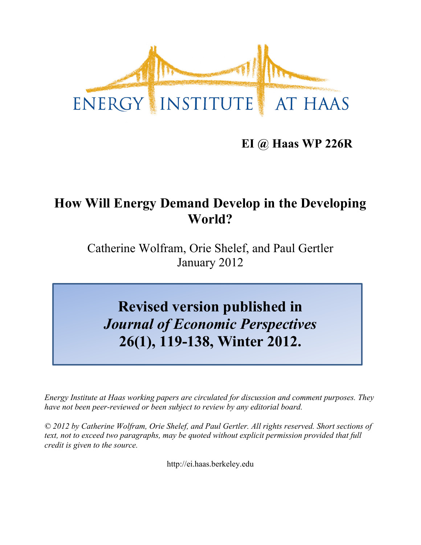

# **EI @ Haas WP 226R**

# **How Will Energy Demand Develop in the Developing World?**

Catherine Wolfram, Orie Shelef, and Paul Gertler January 2012

**Revised version published in** *Journal of Economic Perspectives* **26(1), 119-138, Winter 2012.**

*Energy Institute at Haas working papers are circulated for discussion and comment purposes. They have not been peer-reviewed or been subject to review by any editorial board.*

*© 2012 by Catherine Wolfram, Orie Shelef, and Paul Gertler. All rights reserved. Short sections of text, not to exceed two paragraphs, may be quoted without explicit permission provided that full credit is given to the source.*

http://ei.haas.berkeley.edu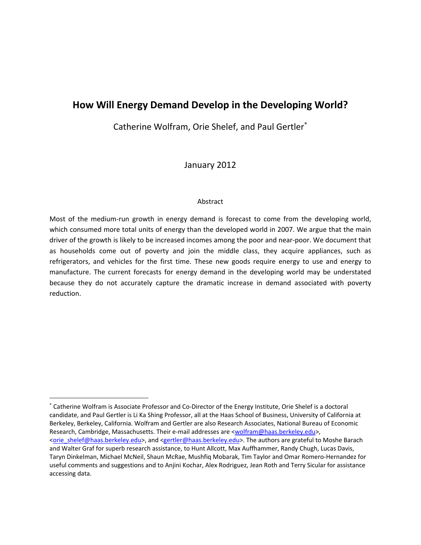# **How Will Energy Demand Develop in the Developing World?**

Catherine Wolfram, Orie Shelef, and Paul Gertler

January 2012

#### Abstract

Most of the medium-run growth in energy demand is forecast to come from the developing world, which consumed more total units of energy than the developed world in 2007. We argue that the main driver of the growth is likely to be increased incomes among the poor and near‐poor. We document that as households come out of poverty and join the middle class, they acquire appliances, such as refrigerators, and vehicles for the first time. These new goods require energy to use and energy to manufacture. The current forecasts for energy demand in the developing world may be understated because they do not accurately capture the dramatic increase in demand associated with poverty reduction.

 Catherine Wolfram is Associate Professor and Co‐Director of the Energy Institute, Orie Shelef is a doctoral candidate, and Paul Gertler is Li Ka Shing Professor, all at the Haas School of Business, University of California at Berkeley, Berkeley, California. Wolfram and Gertler are also Research Associates, National Bureau of Economic Research, Cambridge, Massachusetts. Their e-mail addresses are <wolfram@haas.berkeley.edu>, <orie\_shelef@haas.berkeley.edu>, and <gertler@haas.berkeley.edu>. The authors are grateful to Moshe Barach and Walter Graf for superb research assistance, to Hunt Allcott, Max Auffhammer, Randy Chugh, Lucas Davis, Taryn Dinkelman, Michael McNeil, Shaun McRae, Mushfiq Mobarak, Tim Taylor and Omar Romero‐Hernandez for useful comments and suggestions and to Anjini Kochar, Alex Rodriguez, Jean Roth and Terry Sicular for assistance accessing data.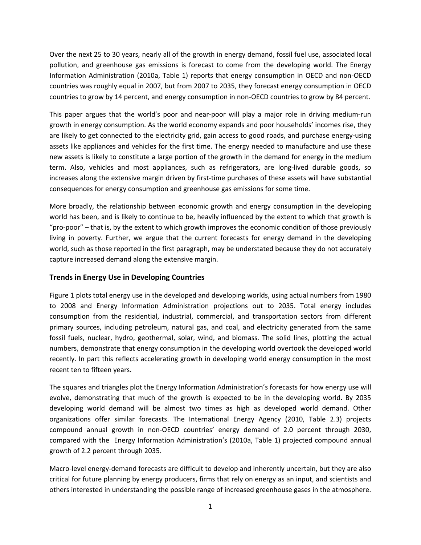Over the next 25 to 30 years, nearly all of the growth in energy demand, fossil fuel use, associated local pollution, and greenhouse gas emissions is forecast to come from the developing world. The Energy Information Administration (2010a, Table 1) reports that energy consumption in OECD and non‐OECD countries was roughly equal in 2007, but from 2007 to 2035, they forecast energy consumption in OECD countries to grow by 14 percent, and energy consumption in non‐OECD countries to grow by 84 percent.

This paper argues that the world's poor and near‐poor will play a major role in driving medium‐run growth in energy consumption. As the world economy expands and poor households' incomes rise, they are likely to get connected to the electricity grid, gain access to good roads, and purchase energy-using assets like appliances and vehicles for the first time. The energy needed to manufacture and use these new assets is likely to constitute a large portion of the growth in the demand for energy in the medium term. Also, vehicles and most appliances, such as refrigerators, are long‐lived durable goods, so increases along the extensive margin driven by first-time purchases of these assets will have substantial consequences for energy consumption and greenhouse gas emissions for some time.

More broadly, the relationship between economic growth and energy consumption in the developing world has been, and is likely to continue to be, heavily influenced by the extent to which that growth is "pro‐poor" – that is, by the extent to which growth improves the economic condition of those previously living in poverty. Further, we argue that the current forecasts for energy demand in the developing world, such as those reported in the first paragraph, may be understated because they do not accurately capture increased demand along the extensive margin.

#### **Trends in Energy Use in Developing Countries**

Figure 1 plots total energy use in the developed and developing worlds, using actual numbers from 1980 to 2008 and Energy Information Administration projections out to 2035. Total energy includes consumption from the residential, industrial, commercial, and transportation sectors from different primary sources, including petroleum, natural gas, and coal, and electricity generated from the same fossil fuels, nuclear, hydro, geothermal, solar, wind, and biomass. The solid lines, plotting the actual numbers, demonstrate that energy consumption in the developing world overtook the developed world recently. In part this reflects accelerating growth in developing world energy consumption in the most recent ten to fifteen years.

The squares and triangles plot the Energy Information Administration's forecasts for how energy use will evolve, demonstrating that much of the growth is expected to be in the developing world. By 2035 developing world demand will be almost two times as high as developed world demand. Other organizations offer similar forecasts. The International Energy Agency (2010, Table 2.3) projects compound annual growth in non‐OECD countries' energy demand of 2.0 percent through 2030, compared with the Energy Information Administration's (2010a, Table 1) projected compound annual growth of 2.2 percent through 2035.

Macro‐level energy‐demand forecasts are difficult to develop and inherently uncertain, but they are also critical for future planning by energy producers, firms that rely on energy as an input, and scientists and others interested in understanding the possible range of increased greenhouse gases in the atmosphere.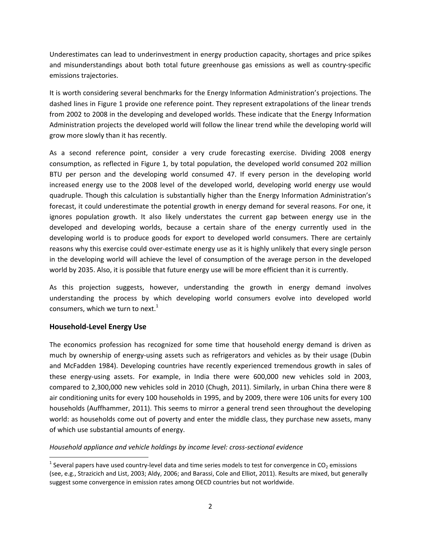Underestimates can lead to underinvestment in energy production capacity, shortages and price spikes and misunderstandings about both total future greenhouse gas emissions as well as country‐specific emissions trajectories.

It is worth considering several benchmarks for the Energy Information Administration's projections. The dashed lines in Figure 1 provide one reference point. They represent extrapolations of the linear trends from 2002 to 2008 in the developing and developed worlds. These indicate that the Energy Information Administration projects the developed world will follow the linear trend while the developing world will grow more slowly than it has recently.

As a second reference point, consider a very crude forecasting exercise. Dividing 2008 energy consumption, as reflected in Figure 1, by total population, the developed world consumed 202 million BTU per person and the developing world consumed 47. If every person in the developing world increased energy use to the 2008 level of the developed world, developing world energy use would quadruple. Though this calculation is substantially higher than the Energy Information Administration's forecast, it could underestimate the potential growth in energy demand for several reasons. For one, it ignores population growth. It also likely understates the current gap between energy use in the developed and developing worlds, because a certain share of the energy currently used in the developing world is to produce goods for export to developed world consumers. There are certainly reasons why this exercise could over-estimate energy use as it is highly unlikely that every single person in the developing world will achieve the level of consumption of the average person in the developed world by 2035. Also, it is possible that future energy use will be more efficient than it is currently.

As this projection suggests, however, understanding the growth in energy demand involves understanding the process by which developing world consumers evolve into developed world consumers, which we turn to next. $1$ 

# **Household‐Level Energy Use**

The economics profession has recognized for some time that household energy demand is driven as much by ownership of energy-using assets such as refrigerators and vehicles as by their usage (Dubin and McFadden 1984). Developing countries have recently experienced tremendous growth in sales of these energy‐using assets. For example, in India there were 600,000 new vehicles sold in 2003, compared to 2,300,000 new vehicles sold in 2010 (Chugh, 2011). Similarly, in urban China there were 8 air conditioning units for every 100 households in 1995, and by 2009, there were 106 units for every 100 households (Auffhammer, 2011). This seems to mirror a general trend seen throughout the developing world: as households come out of poverty and enter the middle class, they purchase new assets, many of which use substantial amounts of energy.

#### *Household appliance and vehicle holdings by income level: cross‐sectional evidence*

<sup>&</sup>lt;sup>1</sup> Several papers have used country-level data and time series models to test for convergence in CO<sub>2</sub> emissions (see, e.g., Strazicich and List, 2003; Aldy, 2006; and Barassi, Cole and Elliot, 2011). Results are mixed, but generally suggest some convergence in emission rates among OECD countries but not worldwide.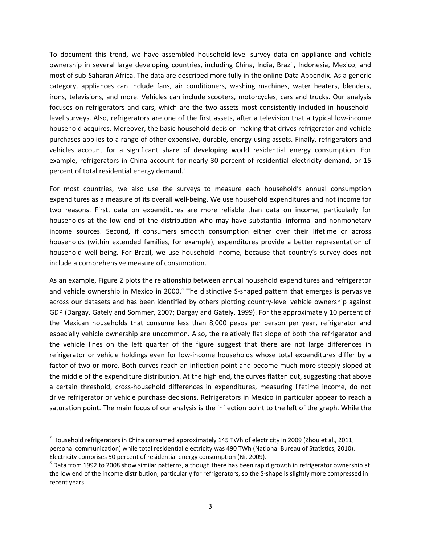To document this trend, we have assembled household‐level survey data on appliance and vehicle ownership in several large developing countries, including China, India, Brazil, Indonesia, Mexico, and most of sub‐Saharan Africa. The data are described more fully in the online Data Appendix. As a generic category, appliances can include fans, air conditioners, washing machines, water heaters, blenders, irons, televisions, and more. Vehicles can include scooters, motorcycles, cars and trucks. Our analysis focuses on refrigerators and cars, which are the two assets most consistently included in household‐ level surveys. Also, refrigerators are one of the first assets, after a television that a typical low‐income household acquires. Moreover, the basic household decision-making that drives refrigerator and vehicle purchases applies to a range of other expensive, durable, energy-using assets. Finally, refrigerators and vehicles account for a significant share of developing world residential energy consumption. For example, refrigerators in China account for nearly 30 percent of residential electricity demand, or 15 percent of total residential energy demand.<sup>2</sup>

For most countries, we also use the surveys to measure each household's annual consumption expenditures as a measure of its overall well‐being. We use household expenditures and not income for two reasons. First, data on expenditures are more reliable than data on income, particularly for households at the low end of the distribution who may have substantial informal and nonmonetary income sources. Second, if consumers smooth consumption either over their lifetime or across households (within extended families, for example), expenditures provide a better representation of household well‐being. For Brazil, we use household income, because that country's survey does not include a comprehensive measure of consumption.

As an example, Figure 2 plots the relationship between annual household expenditures and refrigerator and vehicle ownership in Mexico in 2000.<sup>3</sup> The distinctive S-shaped pattern that emerges is pervasive across our datasets and has been identified by others plotting country-level vehicle ownership against GDP (Dargay, Gately and Sommer, 2007; Dargay and Gately, 1999). For the approximately 10 percent of the Mexican households that consume less than 8,000 pesos per person per year, refrigerator and especially vehicle ownership are uncommon. Also, the relatively flat slope of both the refrigerator and the vehicle lines on the left quarter of the figure suggest that there are not large differences in refrigerator or vehicle holdings even for low‐income households whose total expenditures differ by a factor of two or more. Both curves reach an inflection point and become much more steeply sloped at the middle of the expenditure distribution. At the high end, the curves flatten out, suggesting that above a certain threshold, cross‐household differences in expenditures, measuring lifetime income, do not drive refrigerator or vehicle purchase decisions. Refrigerators in Mexico in particular appear to reach a saturation point. The main focus of our analysis is the inflection point to the left of the graph. While the

 <sup>2</sup> Household refrigerators in China consumed approximately 145 TWh of electricity in 2009 (Zhou et al., 2011; personal communication) while total residential electricity was 490 TWh (National Bureau of Statistics, 2010).

Electricity comprises 50 percent of residential energy consumption (Ni, 2009).<br><sup>3</sup> Data from 1992 to 2008 show similar patterns, although there has been rapid growth in refrigerator ownership at the low end of the income distribution, particularly for refrigerators, so the S-shape is slightly more compressed in recent years.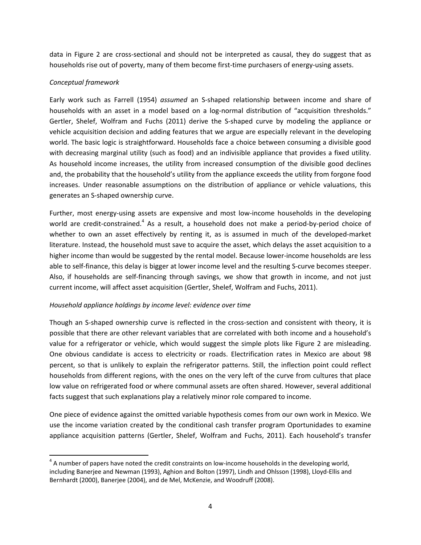data in Figure 2 are cross‐sectional and should not be interpreted as causal, they do suggest that as households rise out of poverty, many of them become first-time purchasers of energy-using assets.

### *Conceptual framework*

Early work such as Farrell (1954) *assumed* an S‐shaped relationship between income and share of households with an asset in a model based on a log-normal distribution of "acquisition thresholds." Gertler, Shelef, Wolfram and Fuchs (2011) derive the S-shaped curve by modeling the appliance or vehicle acquisition decision and adding features that we argue are especially relevant in the developing world. The basic logic is straightforward. Households face a choice between consuming a divisible good with decreasing marginal utility (such as food) and an indivisible appliance that provides a fixed utility. As household income increases, the utility from increased consumption of the divisible good declines and, the probability that the household's utility from the appliance exceeds the utility from forgone food increases. Under reasonable assumptions on the distribution of appliance or vehicle valuations, this generates an S‐shaped ownership curve.

Further, most energy-using assets are expensive and most low-income households in the developing world are credit-constrained.<sup>4</sup> As a result, a household does not make a period-by-period choice of whether to own an asset effectively by renting it, as is assumed in much of the developed-market literature. Instead, the household must save to acquire the asset, which delays the asset acquisition to a higher income than would be suggested by the rental model. Because lower-income households are less able to self-finance, this delay is bigger at lower income level and the resulting S-curve becomes steeper. Also, if households are self‐financing through savings, we show that growth in income, and not just current income, will affect asset acquisition (Gertler, Shelef, Wolfram and Fuchs, 2011).

# *Household appliance holdings by income level: evidence over time*

Though an S‐shaped ownership curve is reflected in the cross‐section and consistent with theory, it is possible that there are other relevant variables that are correlated with both income and a household's value for a refrigerator or vehicle, which would suggest the simple plots like Figure 2 are misleading. One obvious candidate is access to electricity or roads. Electrification rates in Mexico are about 98 percent, so that is unlikely to explain the refrigerator patterns. Still, the inflection point could reflect households from different regions, with the ones on the very left of the curve from cultures that place low value on refrigerated food or where communal assets are often shared. However, several additional facts suggest that such explanations play a relatively minor role compared to income.

One piece of evidence against the omitted variable hypothesis comes from our own work in Mexico. We use the income variation created by the conditional cash transfer program Oportunidades to examine appliance acquisition patterns (Gertler, Shelef, Wolfram and Fuchs, 2011). Each household's transfer

 $4$  A number of papers have noted the credit constraints on low-income households in the developing world, including Banerjee and Newman (1993), Aghion and Bolton (1997), Lindh and Ohlsson (1998), Lloyd‐Ellis and Bernhardt (2000), Banerjee (2004), and de Mel, McKenzie, and Woodruff (2008).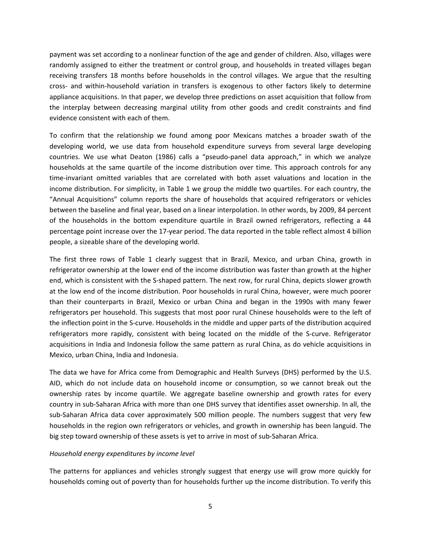payment was set according to a nonlinear function of the age and gender of children. Also, villages were randomly assigned to either the treatment or control group, and households in treated villages began receiving transfers 18 months before households in the control villages. We argue that the resulting cross‐ and within‐household variation in transfers is exogenous to other factors likely to determine appliance acquisitions. In that paper, we develop three predictions on asset acquisition that follow from the interplay between decreasing marginal utility from other goods and credit constraints and find evidence consistent with each of them.

To confirm that the relationship we found among poor Mexicans matches a broader swath of the developing world, we use data from household expenditure surveys from several large developing countries. We use what Deaton (1986) calls a "pseudo‐panel data approach," in which we analyze households at the same quartile of the income distribution over time. This approach controls for any time‐invariant omitted variables that are correlated with both asset valuations and location in the income distribution. For simplicity, in Table 1 we group the middle two quartiles. For each country, the "Annual Acquisitions" column reports the share of households that acquired refrigerators or vehicles between the baseline and final year, based on a linear interpolation. In other words, by 2009, 84 percent of the households in the bottom expenditure quartile in Brazil owned refrigerators, reflecting a 44 percentage point increase over the 17‐year period. The data reported in the table reflect almost 4 billion people, a sizeable share of the developing world.

The first three rows of Table 1 clearly suggest that in Brazil, Mexico, and urban China, growth in refrigerator ownership at the lower end of the income distribution was faster than growth at the higher end, which is consistent with the S-shaped pattern. The next row, for rural China, depicts slower growth at the low end of the income distribution. Poor households in rural China, however, were much poorer than their counterparts in Brazil, Mexico or urban China and began in the 1990s with many fewer refrigerators per household. This suggests that most poor rural Chinese households were to the left of the inflection point in the S‐curve. Households in the middle and upper parts of the distribution acquired refrigerators more rapidly, consistent with being located on the middle of the S-curve. Refrigerator acquisitions in India and Indonesia follow the same pattern as rural China, as do vehicle acquisitions in Mexico, urban China, India and Indonesia.

The data we have for Africa come from Demographic and Health Surveys (DHS) performed by the U.S. AID, which do not include data on household income or consumption, so we cannot break out the ownership rates by income quartile. We aggregate baseline ownership and growth rates for every country in sub‐Saharan Africa with more than one DHS survey that identifies asset ownership. In all, the sub‐Saharan Africa data cover approximately 500 million people. The numbers suggest that very few households in the region own refrigerators or vehicles, and growth in ownership has been languid. The big step toward ownership of these assets is yet to arrive in most of sub‐Saharan Africa.

#### *Household energy expenditures by income level*

The patterns for appliances and vehicles strongly suggest that energy use will grow more quickly for households coming out of poverty than for households further up the income distribution. To verify this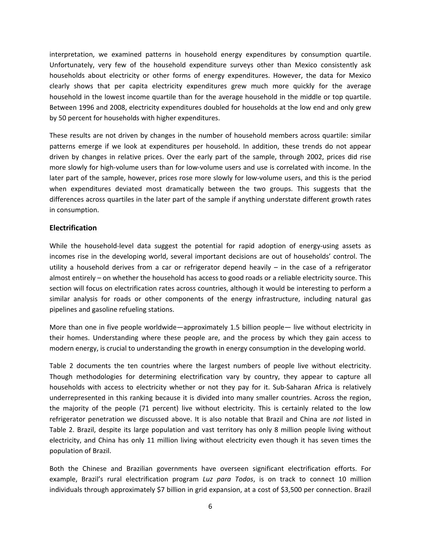interpretation, we examined patterns in household energy expenditures by consumption quartile. Unfortunately, very few of the household expenditure surveys other than Mexico consistently ask households about electricity or other forms of energy expenditures. However, the data for Mexico clearly shows that per capita electricity expenditures grew much more quickly for the average household in the lowest income quartile than for the average household in the middle or top quartile. Between 1996 and 2008, electricity expenditures doubled for households at the low end and only grew by 50 percent for households with higher expenditures.

These results are not driven by changes in the number of household members across quartile: similar patterns emerge if we look at expenditures per household. In addition, these trends do not appear driven by changes in relative prices. Over the early part of the sample, through 2002, prices did rise more slowly for high‐volume users than for low‐volume users and use is correlated with income. In the later part of the sample, however, prices rose more slowly for low‐volume users, and this is the period when expenditures deviated most dramatically between the two groups. This suggests that the differences across quartiles in the later part of the sample if anything understate different growth rates in consumption.

#### **Electrification**

While the household-level data suggest the potential for rapid adoption of energy-using assets as incomes rise in the developing world, several important decisions are out of households' control. The utility a household derives from a car or refrigerator depend heavily – in the case of a refrigerator almost entirely – on whether the household has access to good roads or a reliable electricity source. This section will focus on electrification rates across countries, although it would be interesting to perform a similar analysis for roads or other components of the energy infrastructure, including natural gas pipelines and gasoline refueling stations.

More than one in five people worldwide—approximately 1.5 billion people— live without electricity in their homes. Understanding where these people are, and the process by which they gain access to modern energy, is crucial to understanding the growth in energy consumption in the developing world.

Table 2 documents the ten countries where the largest numbers of people live without electricity. Though methodologies for determining electrification vary by country, they appear to capture all households with access to electricity whether or not they pay for it. Sub-Saharan Africa is relatively underrepresented in this ranking because it is divided into many smaller countries. Across the region, the majority of the people (71 percent) live without electricity. This is certainly related to the low refrigerator penetration we discussed above. It is also notable that Brazil and China are *not* listed in Table 2. Brazil, despite its large population and vast territory has only 8 million people living without electricity, and China has only 11 million living without electricity even though it has seven times the population of Brazil.

Both the Chinese and Brazilian governments have overseen significant electrification efforts. For example, Brazil's rural electrification program *Luz para Todos*, is on track to connect 10 million individuals through approximately \$7 billion in grid expansion, at a cost of \$3,500 per connection. Brazil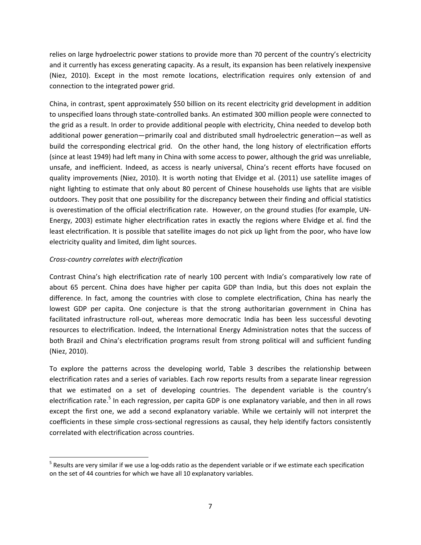relies on large hydroelectric power stations to provide more than 70 percent of the country's electricity and it currently has excess generating capacity. As a result, its expansion has been relatively inexpensive (Niez, 2010). Except in the most remote locations, electrification requires only extension of and connection to the integrated power grid.

China, in contrast, spent approximately \$50 billion on its recent electricity grid development in addition to unspecified loans through state‐controlled banks. An estimated 300 million people were connected to the grid as a result. In order to provide additional people with electricity, China needed to develop both additional power generation—primarily coal and distributed small hydroelectric generation—as well as build the corresponding electrical grid. On the other hand, the long history of electrification efforts (since at least 1949) had left many in China with some access to power, although the grid was unreliable, unsafe, and inefficient. Indeed, as access is nearly universal, China's recent efforts have focused on quality improvements (Niez, 2010). It is worth noting that Elvidge et al. (2011) use satellite images of night lighting to estimate that only about 80 percent of Chinese households use lights that are visible outdoors. They posit that one possibility for the discrepancy between their finding and official statistics is overestimation of the official electrification rate. However, on the ground studies (for example, UN‐ Energy, 2003) estimate higher electrification rates in exactly the regions where Elvidge et al. find the least electrification. It is possible that satellite images do not pick up light from the poor, who have low electricity quality and limited, dim light sources.

# *Cross‐country correlates with electrification*

Contrast China's high electrification rate of nearly 100 percent with India's comparatively low rate of about 65 percent. China does have higher per capita GDP than India, but this does not explain the difference. In fact, among the countries with close to complete electrification, China has nearly the lowest GDP per capita. One conjecture is that the strong authoritarian government in China has facilitated infrastructure roll‐out, whereas more democratic India has been less successful devoting resources to electrification. Indeed, the International Energy Administration notes that the success of both Brazil and China's electrification programs result from strong political will and sufficient funding (Niez, 2010).

To explore the patterns across the developing world, Table 3 describes the relationship between electrification rates and a series of variables. Each row reports results from a separate linear regression that we estimated on a set of developing countries. The dependent variable is the country's electrification rate.<sup>5</sup> In each regression, per capita GDP is one explanatory variable, and then in all rows except the first one, we add a second explanatory variable. While we certainly will not interpret the coefficients in these simple cross‐sectional regressions as causal, they help identify factors consistently correlated with electrification across countries.

 $<sup>5</sup>$  Results are very similar if we use a log-odds ratio as the dependent variable or if we estimate each specification</sup> on the set of 44 countries for which we have all 10 explanatory variables.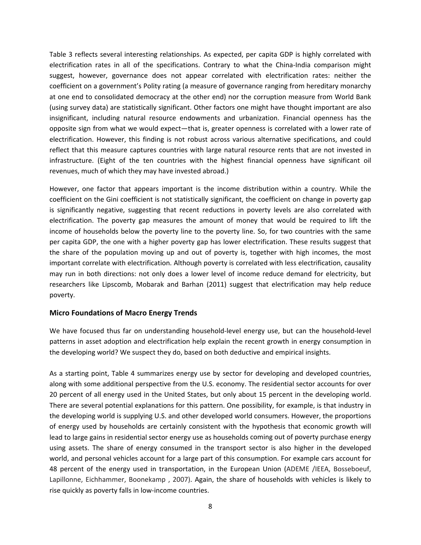Table 3 reflects several interesting relationships. As expected, per capita GDP is highly correlated with electrification rates in all of the specifications. Contrary to what the China-India comparison might suggest, however, governance does not appear correlated with electrification rates: neither the coefficient on a government's Polity rating (a measure of governance ranging from hereditary monarchy at one end to consolidated democracy at the other end) nor the corruption measure from World Bank (using survey data) are statistically significant. Other factors one might have thought important are also insignificant, including natural resource endowments and urbanization. Financial openness has the opposite sign from what we would expect—that is, greater openness is correlated with a lower rate of electrification. However, this finding is not robust across various alternative specifications, and could reflect that this measure captures countries with large natural resource rents that are not invested in infrastructure. (Eight of the ten countries with the highest financial openness have significant oil revenues, much of which they may have invested abroad.)

However, one factor that appears important is the income distribution within a country. While the coefficient on the Gini coefficient is not statistically significant, the coefficient on change in poverty gap is significantly negative, suggesting that recent reductions in poverty levels are also correlated with electrification. The poverty gap measures the amount of money that would be required to lift the income of households below the poverty line to the poverty line. So, for two countries with the same per capita GDP, the one with a higher poverty gap has lower electrification. These results suggest that the share of the population moving up and out of poverty is, together with high incomes, the most important correlate with electrification. Although poverty is correlated with less electrification, causality may run in both directions: not only does a lower level of income reduce demand for electricity, but researchers like Lipscomb, Mobarak and Barhan (2011) suggest that electrification may help reduce poverty.

#### **Micro Foundations of Macro Energy Trends**

We have focused thus far on understanding household-level energy use, but can the household-level patterns in asset adoption and electrification help explain the recent growth in energy consumption in the developing world? We suspect they do, based on both deductive and empirical insights.

As a starting point, Table 4 summarizes energy use by sector for developing and developed countries, along with some additional perspective from the U.S. economy. The residential sector accounts for over 20 percent of all energy used in the United States, but only about 15 percent in the developing world. There are several potential explanations for this pattern. One possibility, for example, is that industry in the developing world is supplying U.S. and other developed world consumers. However, the proportions of energy used by households are certainly consistent with the hypothesis that economic growth will lead to large gains in residential sector energy use as households coming out of poverty purchase energy using assets. The share of energy consumed in the transport sector is also higher in the developed world, and personal vehicles account for a large part of this consumption. For example cars account for 48 percent of the energy used in transportation, in the European Union (ADEME /IEEA, Bosseboeuf, Lapillonne, Eichhammer, Boonekamp , 2007). Again, the share of households with vehicles is likely to rise quickly as poverty falls in low‐income countries.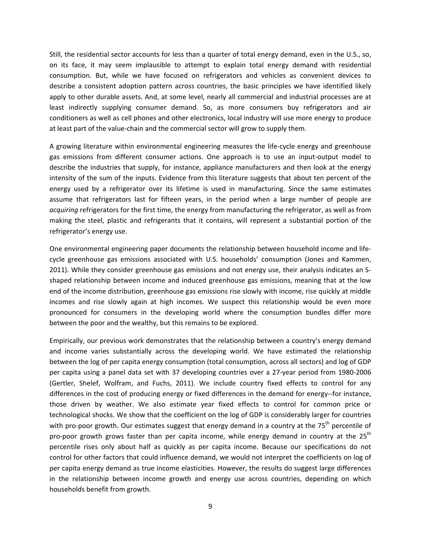Still, the residential sector accounts for less than a quarter of total energy demand, even in the U.S., so, on its face, it may seem implausible to attempt to explain total energy demand with residential consumption. But, while we have focused on refrigerators and vehicles as convenient devices to describe a consistent adoption pattern across countries, the basic principles we have identified likely apply to other durable assets. And, at some level, nearly all commercial and industrial processes are at least indirectly supplying consumer demand. So, as more consumers buy refrigerators and air conditioners as well as cell phones and other electronics, local industry will use more energy to produce at least part of the value‐chain and the commercial sector will grow to supply them.

A growing literature within environmental engineering measures the life‐cycle energy and greenhouse gas emissions from different consumer actions. One approach is to use an input‐output model to describe the industries that supply, for instance, appliance manufacturers and then look at the energy intensity of the sum of the inputs. Evidence from this literature suggests that about ten percent of the energy used by a refrigerator over its lifetime is used in manufacturing. Since the same estimates assume that refrigerators last for fifteen years, in the period when a large number of people are *acquiring* refrigerators for the first time, the energy from manufacturing the refrigerator, as well as from making the steel, plastic and refrigerants that it contains, will represent a substantial portion of the refrigerator's energy use.

One environmental engineering paper documents the relationship between household income and life‐ cycle greenhouse gas emissions associated with U.S. households' consumption (Jones and Kammen, 2011). While they consider greenhouse gas emissions and not energy use, their analysis indicates an S‐ shaped relationship between income and induced greenhouse gas emissions, meaning that at the low end of the income distribution, greenhouse gas emissions rise slowly with income, rise quickly at middle incomes and rise slowly again at high incomes. We suspect this relationship would be even more pronounced for consumers in the developing world where the consumption bundles differ more between the poor and the wealthy, but this remains to be explored.

Empirically, our previous work demonstrates that the relationship between a country's energy demand and income varies substantially across the developing world. We have estimated the relationship between the log of per capita energy consumption (total consumption, across all sectors) and log of GDP per capita using a panel data set with 37 developing countries over a 27‐year period from 1980‐2006 (Gertler, Shelef, Wolfram, and Fuchs, 2011). We include country fixed effects to control for any differences in the cost of producing energy or fixed differences in the demand for energy-for instance, those driven by weather. We also estimate year fixed effects to control for common price or technological shocks. We show that the coefficient on the log of GDP is considerably larger for countries with pro-poor growth. Our estimates suggest that energy demand in a country at the 75<sup>th</sup> percentile of pro-poor growth grows faster than per capita income, while energy demand in country at the  $25<sup>th</sup>$ percentile rises only about half as quickly as per capita income. Because our specifications do not control for other factors that could influence demand, we would not interpret the coefficients on log of per capita energy demand as true income elasticities. However, the results do suggest large differences in the relationship between income growth and energy use across countries, depending on which households benefit from growth.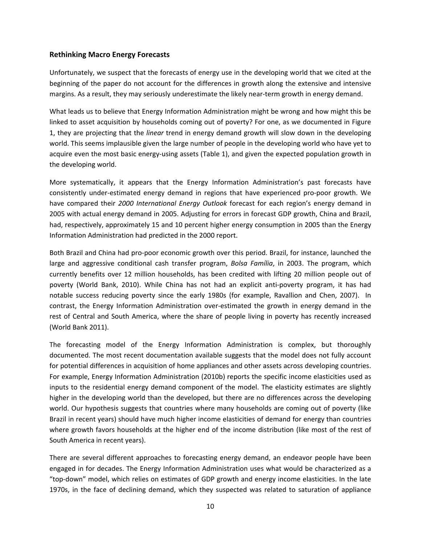#### **Rethinking Macro Energy Forecasts**

Unfortunately, we suspect that the forecasts of energy use in the developing world that we cited at the beginning of the paper do not account for the differences in growth along the extensive and intensive margins. As a result, they may seriously underestimate the likely near-term growth in energy demand.

What leads us to believe that Energy Information Administration might be wrong and how might this be linked to asset acquisition by households coming out of poverty? For one, as we documented in Figure 1, they are projecting that the *linear* trend in energy demand growth will slow down in the developing world. This seems implausible given the large number of people in the developing world who have yet to acquire even the most basic energy‐using assets (Table 1), and given the expected population growth in the developing world.

More systematically, it appears that the Energy Information Administration's past forecasts have consistently under-estimated energy demand in regions that have experienced pro-poor growth. We have compared their *2000 International Energy Outlook* forecast for each region's energy demand in 2005 with actual energy demand in 2005. Adjusting for errors in forecast GDP growth, China and Brazil, had, respectively, approximately 15 and 10 percent higher energy consumption in 2005 than the Energy Information Administration had predicted in the 2000 report.

Both Brazil and China had pro‐poor economic growth over this period. Brazil, for instance, launched the large and aggressive conditional cash transfer program, *Bolsa Família*, in 2003. The program, which currently benefits over 12 million households, has been credited with lifting 20 million people out of poverty (World Bank, 2010). While China has not had an explicit anti‐poverty program, it has had notable success reducing poverty since the early 1980s (for example, Ravallion and Chen, 2007). In contrast, the Energy Information Administration over‐estimated the growth in energy demand in the rest of Central and South America, where the share of people living in poverty has recently increased (World Bank 2011).

The forecasting model of the Energy Information Administration is complex, but thoroughly documented. The most recent documentation available suggests that the model does not fully account for potential differences in acquisition of home appliances and other assets across developing countries. For example, Energy Information Administration (2010b) reports the specific income elasticities used as inputs to the residential energy demand component of the model. The elasticity estimates are slightly higher in the developing world than the developed, but there are no differences across the developing world. Our hypothesis suggests that countries where many households are coming out of poverty (like Brazil in recent years) should have much higher income elasticities of demand for energy than countries where growth favors households at the higher end of the income distribution (like most of the rest of South America in recent years).

There are several different approaches to forecasting energy demand, an endeavor people have been engaged in for decades. The Energy Information Administration uses what would be characterized as a "top‐down" model, which relies on estimates of GDP growth and energy income elasticities. In the late 1970s, in the face of declining demand, which they suspected was related to saturation of appliance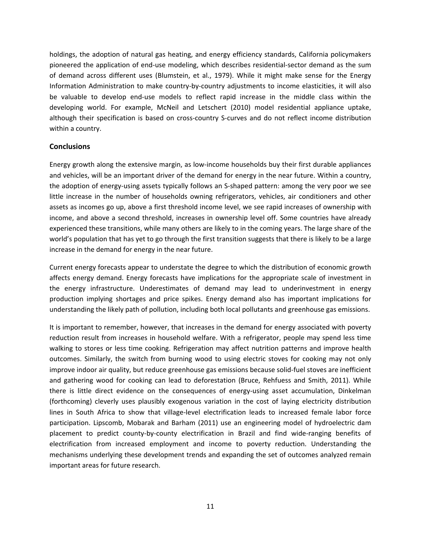holdings, the adoption of natural gas heating, and energy efficiency standards, California policymakers pioneered the application of end‐use modeling, which describes residential‐sector demand as the sum of demand across different uses (Blumstein, et al., 1979). While it might make sense for the Energy Information Administration to make country‐by‐country adjustments to income elasticities, it will also be valuable to develop end-use models to reflect rapid increase in the middle class within the developing world. For example, McNeil and Letschert (2010) model residential appliance uptake, although their specification is based on cross-country S-curves and do not reflect income distribution within a country.

#### **Conclusions**

Energy growth along the extensive margin, as low‐income households buy their first durable appliances and vehicles, will be an important driver of the demand for energy in the near future. Within a country, the adoption of energy‐using assets typically follows an S‐shaped pattern: among the very poor we see little increase in the number of households owning refrigerators, vehicles, air conditioners and other assets as incomes go up, above a first threshold income level, we see rapid increases of ownership with income, and above a second threshold, increases in ownership level off. Some countries have already experienced these transitions, while many others are likely to in the coming years. The large share of the world's population that has yet to go through the first transition suggests that there is likely to be a large increase in the demand for energy in the near future.

Current energy forecasts appear to understate the degree to which the distribution of economic growth affects energy demand. Energy forecasts have implications for the appropriate scale of investment in the energy infrastructure. Underestimates of demand may lead to underinvestment in energy production implying shortages and price spikes. Energy demand also has important implications for understanding the likely path of pollution, including both local pollutants and greenhouse gas emissions.

It is important to remember, however, that increases in the demand for energy associated with poverty reduction result from increases in household welfare. With a refrigerator, people may spend less time walking to stores or less time cooking. Refrigeration may affect nutrition patterns and improve health outcomes. Similarly, the switch from burning wood to using electric stoves for cooking may not only improve indoor air quality, but reduce greenhouse gas emissions because solid-fuel stoves are inefficient and gathering wood for cooking can lead to deforestation (Bruce, Rehfuess and Smith, 2011). While there is little direct evidence on the consequences of energy-using asset accumulation, Dinkelman (forthcoming) cleverly uses plausibly exogenous variation in the cost of laying electricity distribution lines in South Africa to show that village-level electrification leads to increased female labor force participation. Lipscomb, Mobarak and Barham (2011) use an engineering model of hydroelectric dam placement to predict county‐by‐county electrification in Brazil and find wide‐ranging benefits of electrification from increased employment and income to poverty reduction. Understanding the mechanisms underlying these development trends and expanding the set of outcomes analyzed remain important areas for future research.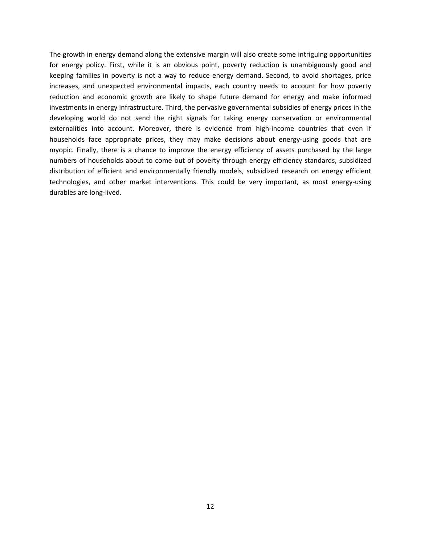The growth in energy demand along the extensive margin will also create some intriguing opportunities for energy policy. First, while it is an obvious point, poverty reduction is unambiguously good and keeping families in poverty is not a way to reduce energy demand. Second, to avoid shortages, price increases, and unexpected environmental impacts, each country needs to account for how poverty reduction and economic growth are likely to shape future demand for energy and make informed investments in energy infrastructure. Third, the pervasive governmental subsidies of energy prices in the developing world do not send the right signals for taking energy conservation or environmental externalities into account. Moreover, there is evidence from high-income countries that even if households face appropriate prices, they may make decisions about energy-using goods that are myopic. Finally, there is a chance to improve the energy efficiency of assets purchased by the large numbers of households about to come out of poverty through energy efficiency standards, subsidized distribution of efficient and environmentally friendly models, subsidized research on energy efficient technologies, and other market interventions. This could be very important, as most energy-using durables are long‐lived.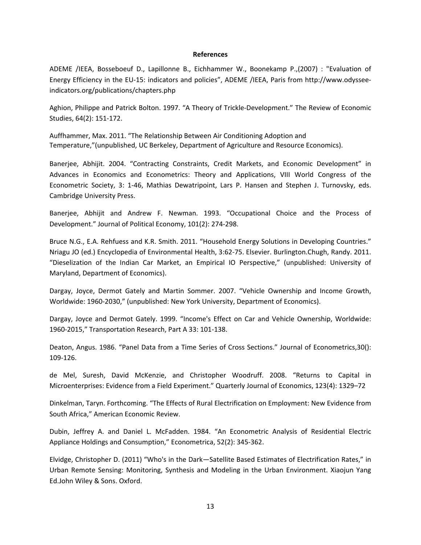#### **References**

ADEME /IEEA, Bosseboeuf D., Lapillonne B., Eichhammer W., Boonekamp P.,(2007) : "Evaluation of Energy Efficiency in the EU‐15: indicators and policies", ADEME /IEEA, Paris from http://www.odyssee‐ indicators.org/publications/chapters.php

Aghion, Philippe and Patrick Bolton. 1997. "A Theory of Trickle‐Development." The Review of Economic Studies, 64(2): 151‐172.

Auffhammer, Max. 2011. "The Relationship Between Air Conditioning Adoption and Temperature,"(unpublished, UC Berkeley, Department of Agriculture and Resource Economics).

Banerjee, Abhijit. 2004. "Contracting Constraints, Credit Markets, and Economic Development" in Advances in Economics and Econometrics: Theory and Applications, VIII World Congress of the Econometric Society, 3: 1‐46, Mathias Dewatripoint, Lars P. Hansen and Stephen J. Turnovsky, eds. Cambridge University Press.

Banerjee, Abhijit and Andrew F. Newman. 1993. "Occupational Choice and the Process of Development." Journal of Political Economy, 101(2): 274‐298.

Bruce N.G., E.A. Rehfuess and K.R. Smith. 2011. "Household Energy Solutions in Developing Countries." Nriagu JO (ed.) Encyclopedia of Environmental Health, 3:62‐75. Elsevier. Burlington.Chugh, Randy. 2011. "Dieselization of the Indian Car Market, an Empirical IO Perspective," (unpublished: University of Maryland, Department of Economics).

Dargay, Joyce, Dermot Gately and Martin Sommer. 2007. "Vehicle Ownership and Income Growth, Worldwide: 1960‐2030," (unpublished: New York University, Department of Economics).

Dargay, Joyce and Dermot Gately. 1999. "Income's Effect on Car and Vehicle Ownership, Worldwide: 1960‐2015," Transportation Research, Part A 33: 101‐138.

Deaton, Angus. 1986. "Panel Data from a Time Series of Cross Sections." Journal of Econometrics,30(): 109‐126.

de Mel, Suresh, David McKenzie, and Christopher Woodruff. 2008. "Returns to Capital in Microenterprises: Evidence from a Field Experiment." Quarterly Journal of Economics, 123(4): 1329–72

Dinkelman, Taryn. Forthcoming. "The Effects of Rural Electrification on Employment: New Evidence from South Africa," American Economic Review.

Dubin, Jeffrey A. and Daniel L. McFadden. 1984. "An Econometric Analysis of Residential Electric Appliance Holdings and Consumption," Econometrica, 52(2): 345‐362.

Elvidge, Christopher D. (2011) "Who's in the Dark—Satellite Based Estimates of Electrification Rates," in Urban Remote Sensing: Monitoring, Synthesis and Modeling in the Urban Environment. Xiaojun Yang Ed.John Wiley & Sons. Oxford.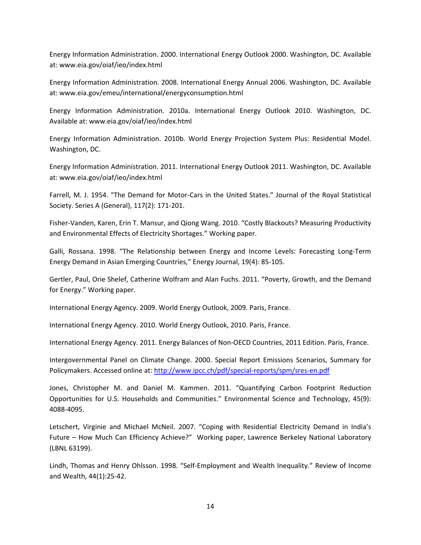Energy Information Administration. 2000. International Energy Outlook 2000. Washington, DC. Available at: www.eia.gov/oiaf/ieo/index.html

Energy Information Administration. 2008. International Energy Annual 2006. Washington, DC. Available at: www.eia.gov/emeu/international/energyconsumption.html

Energy Information Administration. 2010a. International Energy Outlook 2010. Washington, DC. Available at: www.eia.gov/oiaf/ieo/index.html

Energy Information Administration. 2010b. World Energy Projection System Plus: Residential Model. Washington, DC.

Energy Information Administration. 2011. International Energy Outlook 2011. Washington, DC. Available at: www.eia.gov/oiaf/ieo/index.html

Farrell, M. J. 1954. "The Demand for Motor‐Cars in the United States." Journal of the Royal Statistical Society. Series A (General), 117(2): 171‐201.

Fisher‐Vanden, Karen, Erin T. Mansur, and Qiong Wang. 2010. "Costly Blackouts? Measuring Productivity and Environmental Effects of Electricity Shortages." Working paper.

Galli, Rossana. 1998. "The Relationship between Energy and Income Levels: Forecasting Long‐Term Energy Demand in Asian Emerging Countries," Energy Journal, 19(4): 85‐105.

Gertler, Paul, Orie Shelef, Catherine Wolfram and Alan Fuchs. 2011. "Poverty, Growth, and the Demand for Energy." Working paper.

International Energy Agency. 2009. World Energy Outlook, 2009. Paris, France.

International Energy Agency. 2010. World Energy Outlook, 2010. Paris, France.

International Energy Agency. 2011. Energy Balances of Non‐OECD Countries, 2011 Edition. Paris, France.

Intergovernmental Panel on Climate Change. 2000. Special Report Emissions Scenarios, Summary for Policymakers. Accessed online at: http://www.ipcc.ch/pdf/special‐reports/spm/sres‐en.pdf

Jones, Christopher M. and Daniel M. Kammen. 2011. "Quantifying Carbon Footprint Reduction Opportunities for U.S. Households and Communities." Environmental Science and Technology, 45(9): 4088‐4095.

Letschert, Virginie and Michael McNeil. 2007. "Coping with Residential Electricity Demand in India's Future – How Much Can Efficiency Achieve?" Working paper, Lawrence Berkeley National Laboratory (LBNL 63199).

Lindh, Thomas and Henry Ohlsson. 1998. "Self‐Employment and Wealth Inequality." Review of Income and Wealth, 44(1):25‐42.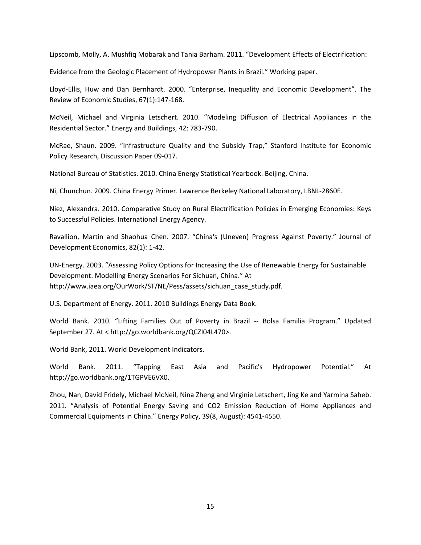Lipscomb, Molly, A. Mushfiq Mobarak and Tania Barham. 2011. "Development Effects of Electrification:

Evidence from the Geologic Placement of Hydropower Plants in Brazil." Working paper.

Lloyd‐Ellis, Huw and Dan Bernhardt. 2000. "Enterprise, Inequality and Economic Development". The Review of Economic Studies, 67(1):147‐168.

McNeil, Michael and Virginia Letschert. 2010. "Modeling Diffusion of Electrical Appliances in the Residential Sector." Energy and Buildings, 42: 783‐790.

McRae, Shaun. 2009. "Infrastructure Quality and the Subsidy Trap," Stanford Institute for Economic Policy Research, Discussion Paper 09‐017.

National Bureau of Statistics. 2010. China Energy Statistical Yearbook. Beijing, China.

Ni, Chunchun. 2009. China Energy Primer. Lawrence Berkeley National Laboratory, LBNL‐2860E.

Niez, Alexandra. 2010. Comparative Study on Rural Electrification Policies in Emerging Economies: Keys to Successful Policies. International Energy Agency.

Ravallion, Martin and Shaohua Chen. 2007. "China's (Uneven) Progress Against Poverty." Journal of Development Economics, 82(1): 1‐42.

UN‐Energy. 2003. "Assessing Policy Options for Increasing the Use of Renewable Energy for Sustainable Development: Modelling Energy Scenarios For Sichuan, China." At http://www.iaea.org/OurWork/ST/NE/Pess/assets/sichuan\_case\_study.pdf.

U.S. Department of Energy. 2011. 2010 Buildings Energy Data Book.

World Bank. 2010. "Lifting Families Out of Poverty in Brazil ‐‐ Bolsa Familia Program." Updated September 27. At < http://go.worldbank.org/QCZI04L470>.

World Bank, 2011. World Development Indicators.

World Bank. 2011. "Tapping East Asia and Pacific's Hydropower Potential." At http://go.worldbank.org/1TGPVE6VX0.

Zhou, Nan, David Fridely, Michael McNeil, Nina Zheng and Virginie Letschert, Jing Ke and Yarmina Saheb. 2011. "Analysis of Potential Energy Saving and CO2 Emission Reduction of Home Appliances and Commercial Equipments in China." Energy Policy, 39(8, August): 4541‐4550.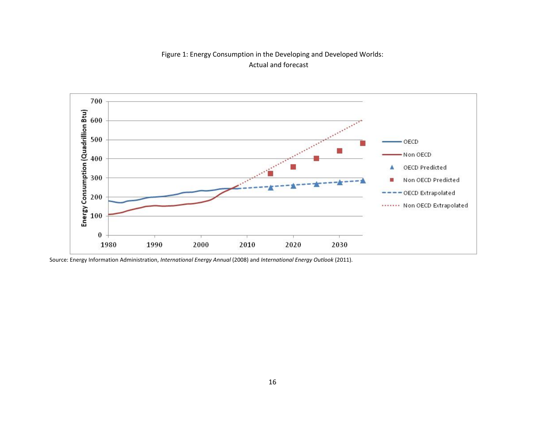



Source: Energy Information Administration, *International Energy Annual* (2008) and *International Energy Outlook* (2011).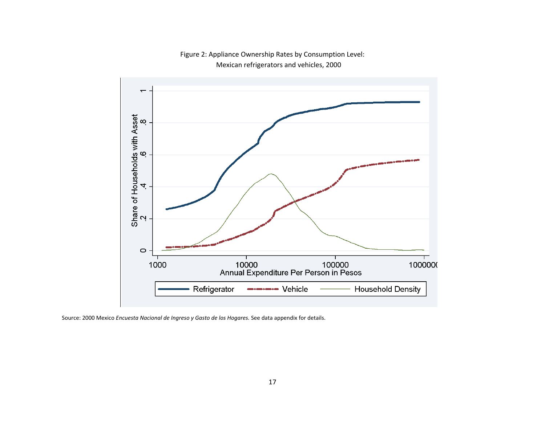

Figure 2: Appliance Ownership Rates by Consumption Level: Mexican refrigerators and vehicles, 2000

Source: 2000 Mexico *Encuesta Nacional de Ingreso y Gasto de los Hogares.* See data appendix for details.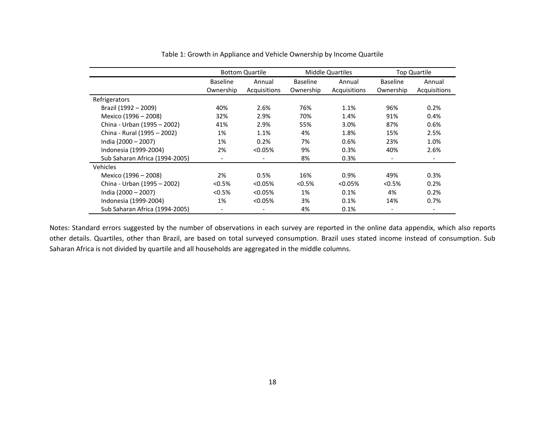|                                | <b>Bottom Quartile</b> |                          | <b>Middle Quartiles</b> |              | <b>Top Quartile</b>      |                          |
|--------------------------------|------------------------|--------------------------|-------------------------|--------------|--------------------------|--------------------------|
|                                | <b>Baseline</b>        | Annual                   | <b>Baseline</b>         | Annual       | <b>Baseline</b>          | Annual                   |
|                                | Ownership              | Acquisitions             | Ownership               | Acquisitions | Ownership                | Acquisitions             |
| Refrigerators                  |                        |                          |                         |              |                          |                          |
| Brazil (1992 - 2009)           | 40%                    | 2.6%                     | 76%                     | 1.1%         | 96%                      | 0.2%                     |
| Mexico (1996 - 2008)           | 32%                    | 2.9%                     | 70%                     | 1.4%         | 91%                      | 0.4%                     |
| China - Urban (1995 - 2002)    | 41%                    | 2.9%                     | 55%                     | 3.0%         | 87%                      | 0.6%                     |
| China - Rural (1995 - 2002)    | 1%                     | 1.1%                     | 4%                      | 1.8%         | 15%                      | 2.5%                     |
| India (2000 - 2007)            | 1%                     | 0.2%                     | 7%                      | 0.6%         | 23%                      | 1.0%                     |
| Indonesia (1999-2004)          | 2%                     | $< 0.05\%$               | 9%                      | 0.3%         | 40%                      | 2.6%                     |
| Sub Saharan Africa (1994-2005) | -                      | $\overline{\phantom{a}}$ | 8%                      | 0.3%         | $\overline{\phantom{a}}$ | $\overline{\phantom{a}}$ |
| Vehicles                       |                        |                          |                         |              |                          |                          |
| Mexico (1996 - 2008)           | 2%                     | 0.5%                     | 16%                     | 0.9%         | 49%                      | 0.3%                     |
| China - Urban (1995 - 2002)    | < 0.5%                 | < 0.05%                  | < 0.5%                  | $< 0.05\%$   | < 0.5%                   | 0.2%                     |
| India (2000 - 2007)            | < 0.5%                 | < 0.05%                  | 1%                      | 0.1%         | 4%                       | 0.2%                     |
| Indonesia (1999-2004)          | 1%                     | < 0.05%                  | 3%                      | 0.1%         | 14%                      | 0.7%                     |
| Sub Saharan Africa (1994-2005) | -                      |                          | 4%                      | 0.1%         | $\overline{\phantom{a}}$ |                          |

#### Table 1: Growth in Appliance and Vehicle Ownership by Income Quartile

Notes: Standard errors suggested by the number of observations in each survey are reported in the online data appendix, which also reports other details. Quartiles, other than Brazil, are based on total surveyed consumption. Brazil uses stated income instead of consumption. Sub Saharan Africa is not divided by quartile and all households are aggregated in the middle columns.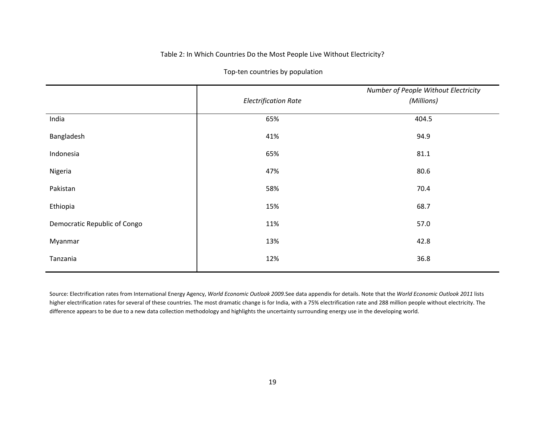#### Table 2: In Which Countries Do the Most People Live Without Electricity?

|                              | <b>Electrification Rate</b> | Number of People Without Electricity<br>(Millions) |
|------------------------------|-----------------------------|----------------------------------------------------|
| India                        | 65%                         | 404.5                                              |
| Bangladesh                   | 41%                         | 94.9                                               |
| Indonesia                    | 65%                         | 81.1                                               |
| Nigeria                      | 47%                         | 80.6                                               |
| Pakistan                     | 58%                         | 70.4                                               |
| Ethiopia                     | 15%                         | 68.7                                               |
| Democratic Republic of Congo | 11%                         | 57.0                                               |
| Myanmar                      | 13%                         | 42.8                                               |
| Tanzania                     | 12%                         | 36.8                                               |

Top-ten countries by population

Source: Electrification rates from International Energy Agency, World Economic Outlook 2009.See data appendix for details. Note that the World Economic Outlook 2011 lists higher electrification rates for several of these countries. The most dramatic change is for India, with <sup>a</sup> 75% electrification rate and 288 million people without electricity. The difference appears to be due to <sup>a</sup> new data collection methodology and highlights the uncertainty surrounding energy use in the developing world.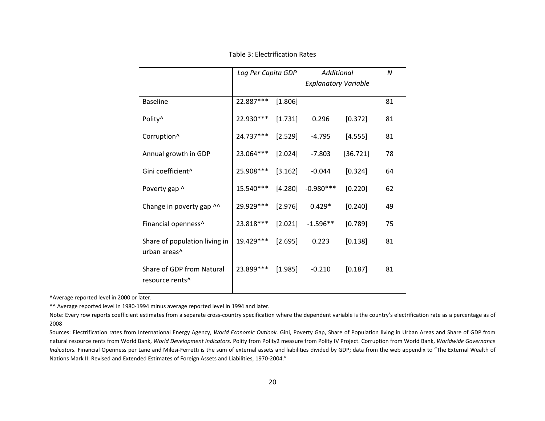|                                                          | Log Per Capita GDP |         | Additional                  |          | N  |
|----------------------------------------------------------|--------------------|---------|-----------------------------|----------|----|
|                                                          |                    |         | <b>Explanatory Variable</b> |          |    |
| <b>Baseline</b>                                          | 22.887***          | [1.806] |                             |          | 81 |
| Polity <sup>^</sup>                                      | 22.930 ***         | [1.731] | 0.296                       | [0.372]  | 81 |
| Corruption <sup>^</sup>                                  | 24.737***          | [2.529] | $-4.795$                    | [4.555]  | 81 |
| Annual growth in GDP                                     | 23.064***          | [2.024] | $-7.803$                    | [36.721] | 78 |
| Gini coefficient^                                        | 25.908 ***         | [3.162] | $-0.044$                    | [0.324]  | 64 |
| Poverty gap ^                                            | 15.540***          | [4.280] | $-0.980***$                 | [0.220]  | 62 |
| Change in poverty gap ^^                                 | 29.929 ***         | [2.976] | $0.429*$                    | [0.240]  | 49 |
| Financial openness^                                      | 23.818***          | [2.021] | $-1.596**$                  | [0.789]  | 75 |
| Share of population living in<br>urban areas^            | 19.429 ***         | [2.695] | 0.223                       | [0.138]  | 81 |
| Share of GDP from Natural<br>resource rents <sup>^</sup> | 23.899 ***         | [1.985] | $-0.210$                    | [0.187]  | 81 |

Table 3: Electrification Rates

^Average reported level in 2000 or later.

^^ Average reported level in 1980‐1994 minus average reported level in 1994 and later.

Note: Every row reports coefficient estimates from <sup>a</sup> separate cross‐country specification where the dependent variable is the country's electrification rate as <sup>a</sup> percentage as of 2008

Sources: Electrification rates from International Energy Agency, *World Economic Outlook.* Gini, Poverty Gap, Share of Population living in Urban Areas and Share of GDP from natural resource rents from World Bank, *World Development Indicators.* Polity from Polity2 measure from Polity IV Project. Corruption from World Bank, *Worldwide Governance Indicators.* Financial Openness per Lane and Milesi‐Ferretti is the sum of external assets and liabilities divided by GDP; data from the web appendix to "The External Wealth of Nations Mark II: Revised and Extended Estimates of Foreign Assets and Liabilities, 1970‐2004."